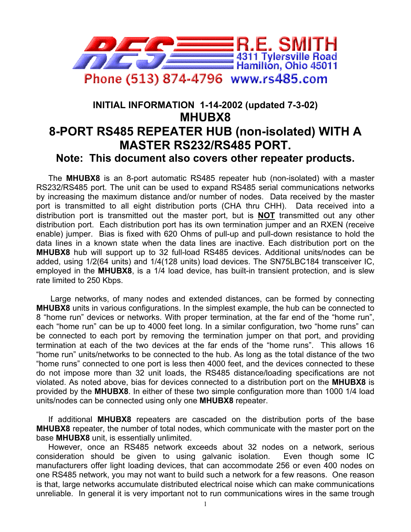

## **INITIAL INFORMATION 1-14-2002 (updated 7-3-02) MHUBX8 8-PORT RS485 REPEATER HUB (non-isolated) WITH A MASTER RS232/RS485 PORT. Note: This document also covers other repeater products.**

The **MHUBX8** is an 8-port automatic RS485 repeater hub (non-isolated) with a master RS232/RS485 port. The unit can be used to expand RS485 serial communications networks by increasing the maximum distance and/or number of nodes. Data received by the master port is transmitted to all eight distribution ports (CHA thru CHH). Data received into a distribution port is transmitted out the master port, but is **NOT** transmitted out any other distribution port. Each distribution port has its own termination jumper and an RXEN (receive enable) jumper. Bias is fixed with 620 Ohms of pull-up and pull-down resistance to hold the data lines in a known state when the data lines are inactive. Each distribution port on the **MHUBX8** hub will support up to 32 full-load RS485 devices. Additional units/nodes can be added, using 1/2(64 units) and 1/4(128 units) load devices. The SN75LBC184 transceiver IC, employed in the **MHUBX8**, is a 1/4 load device, has built-in transient protection, and is slew rate limited to 250 Kbps.

 Large networks, of many nodes and extended distances, can be formed by connecting **MHUBX8** units in various configurations. In the simplest example, the hub can be connected to 8 "home run" devices or networks. With proper termination, at the far end of the "home run", each "home run" can be up to 4000 feet long. In a similar configuration, two "home runs" can be connected to each port by removing the termination jumper on that port, and providing termination at each of the two devices at the far ends of the "home runs". This allows 16 "home run" units/networks to be connected to the hub. As long as the total distance of the two "home runs" connected to one port is less then 4000 feet, and the devices connected to these do not impose more than 32 unit loads, the RS485 distance/loading specifications are not violated. As noted above, bias for devices connected to a distribution port on the **MHUBX8** is provided by the **MHUBX8**. In either of these two simple configuration more than 1000 1/4 load units/nodes can be connected using only one **MHUBX8** repeater.

If additional **MHUBX8** repeaters are cascaded on the distribution ports of the base **MHUBX8** repeater, the number of total nodes, which communicate with the master port on the base **MHUBX8** unit, is essentially unlimited.

However, once an RS485 network exceeds about 32 nodes on a network, serious consideration should be given to using galvanic isolation. Even though some IC manufacturers offer light loading devices, that can accommodate 256 or even 400 nodes on one RS485 network, you may not want to build such a network for a few reasons. One reason is that, large networks accumulate distributed electrical noise which can make communications unreliable. In general it is very important not to run communications wires in the same trough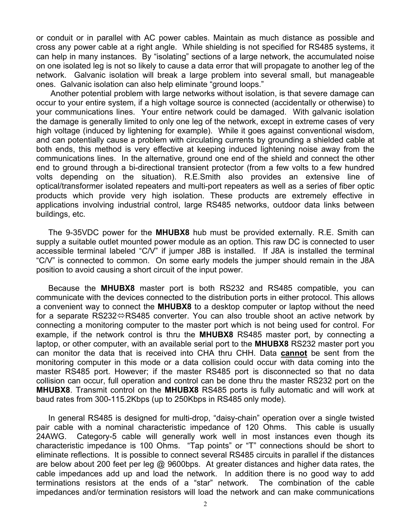or conduit or in parallel with AC power cables. Maintain as much distance as possible and cross any power cable at a right angle. While shielding is not specified for RS485 systems, it can help in many instances. By "isolating" sections of a large network, the accumulated noise on one isolated leg is not so likely to cause a data error that will propagate to another leg of the network. Galvanic isolation will break a large problem into several small, but manageable ones. Galvanic isolation can also help eliminate "ground loops."

 Another potential problem with large networks without isolation, is that severe damage can occur to your entire system, if a high voltage source is connected (accidentally or otherwise) to your communications lines. Your entire network could be damaged. With galvanic isolation the damage is generally limited to only one leg of the network, except in extreme cases of very high voltage (induced by lightening for example). While it goes against conventional wisdom, and can potentially cause a problem with circulating currents by grounding a shielded cable at both ends, this method is very effective at keeping induced lightening noise away from the communications lines. In the alternative, ground one end of the shield and connect the other end to ground through a bi-directional transient protector (from a few volts to a few hundred volts depending on the situation). R.E.Smith also provides an extensive line of optical/transformer isolated repeaters and multi-port repeaters as well as a series of fiber optic products which provide very high isolation. These products are extremely effective in applications involving industrial control, large RS485 networks, outdoor data links between buildings, etc.

The 9-35VDC power for the **MHUBX8** hub must be provided externally. R.E. Smith can supply a suitable outlet mounted power module as an option. This raw DC is connected to user accessible terminal labeled "C/V" if jumper J8B is installed. If J8A is installed the terminal "C/V" is connected to common. On some early models the jumper should remain in the J8A position to avoid causing a short circuit of the input power.

Because the **MHUBX8** master port is both RS232 and RS485 compatible, you can communicate with the devices connected to the distribution ports in either protocol. This allows a convenient way to connect the **MHUBX8** to a desktop computer or laptop without the need for a separate RS232 $\Leftrightarrow$ RS485 converter. You can also trouble shoot an active network by connecting a monitoring computer to the master port which is not being used for control. For example, if the network control is thru the **MHUBX8** RS485 master port, by connecting a laptop, or other computer, with an available serial port to the **MHUBX8** RS232 master port you can monitor the data that is received into CHA thru CHH. Data **cannot** be sent from the monitoring computer in this mode or a data collision could occur with data coming into the master RS485 port. However; if the master RS485 port is disconnected so that no data collision can occur, full operation and control can be done thru the master RS232 port on the **MHUBX8**. Transmit control on the **MHUBX8** RS485 ports is fully automatic and will work at baud rates from 300-115.2Kbps (up to 250Kbps in RS485 only mode).

In general RS485 is designed for multi-drop, "daisy-chain" operation over a single twisted pair cable with a nominal characteristic impedance of 120 Ohms. This cable is usually 24AWG. Category-5 cable will generally work well in most instances even though its characteristic impedance is 100 Ohms. "Tap points" or "T" connections should be short to eliminate reflections. It is possible to connect several RS485 circuits in parallel if the distances are below about 200 feet per leg @ 9600bps. At greater distances and higher data rates, the cable impedances add up and load the network. In addition there is no good way to add terminations resistors at the ends of a "star" network. The combination of the cable impedances and/or termination resistors will load the network and can make communications